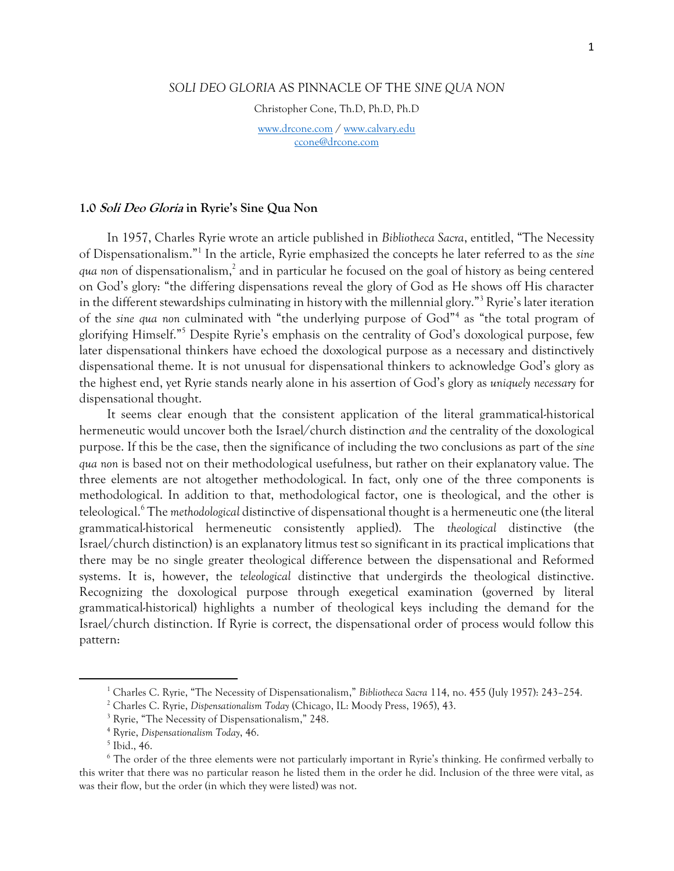## *SOLI DEO GLORIA* AS PINNACLE OF THE *SINE QUA NON*

Christopher Cone, Th.D, Ph.D, Ph.D

[www.drcone.com](http://www.drcone.com/) / [www.calvary.edu](http://www.calvary.edu/) [ccone@drcone.com](mailto:ccone@drcone.com)

#### **1.0 Soli Deo Gloria in Ryrie's Sine Qua Non**

In 1957, Charles Ryrie wrote an article published in *Bibliotheca Sacra*, entitled, "The Necessity of Dispensationalism."<sup>1</sup> In the article, Ryrie emphasized the concepts he later referred to as the *sine*  qua non of dispensationalism,<sup>2</sup> and in particular he focused on the goal of history as being centered on God's glory: "the differing dispensations reveal the glory of God as He shows off His character in the different stewardships culminating in history with the millennial glory."<sup>3</sup> Ryrie's later iteration of the *sine qua non* culminated with "the underlying purpose of God"<sup>4</sup> as "the total program of glorifying Himself."<sup>5</sup> Despite Ryrie's emphasis on the centrality of God's doxological purpose, few later dispensational thinkers have echoed the doxological purpose as a necessary and distinctively dispensational theme. It is not unusual for dispensational thinkers to acknowledge God's glory as the highest end, yet Ryrie stands nearly alone in his assertion of God's glory as *uniquely necessary* for dispensational thought.

It seems clear enough that the consistent application of the literal grammatical-historical hermeneutic would uncover both the Israel/church distinction *and* the centrality of the doxological purpose. If this be the case, then the significance of including the two conclusions as part of the *sine qua non* is based not on their methodological usefulness, but rather on their explanatory value. The three elements are not altogether methodological. In fact, only one of the three components is methodological. In addition to that, methodological factor, one is theological, and the other is teleological.<sup>6</sup> The *methodological* distinctive of dispensational thought is a hermeneutic one (the literal grammatical-historical hermeneutic consistently applied). The *theological* distinctive (the Israel/church distinction) is an explanatory litmus test so significant in its practical implications that there may be no single greater theological difference between the dispensational and Reformed systems. It is, however, the *teleological* distinctive that undergirds the theological distinctive. Recognizing the doxological purpose through exegetical examination (governed by literal grammatical-historical) highlights a number of theological keys including the demand for the Israel/church distinction. If Ryrie is correct, the dispensational order of process would follow this pattern:

<sup>1</sup> Charles C. Ryrie, "The Necessity of Dispensationalism," *Bibliotheca Sacra* 114, no. 455 (July 1957): 243–254.

<sup>2</sup> Charles C. Ryrie, *Dispensationalism Today* (Chicago, IL: Moody Press, 1965), 43.

<sup>3</sup> Ryrie, "The Necessity of Dispensationalism," 248.

<sup>4</sup> Ryrie, *Dispensationalism Today*, 46.

<sup>5</sup> Ibid., 46.

<sup>&</sup>lt;sup>6</sup> The order of the three elements were not particularly important in Ryrie's thinking. He confirmed verbally to this writer that there was no particular reason he listed them in the order he did. Inclusion of the three were vital, as was their flow, but the order (in which they were listed) was not.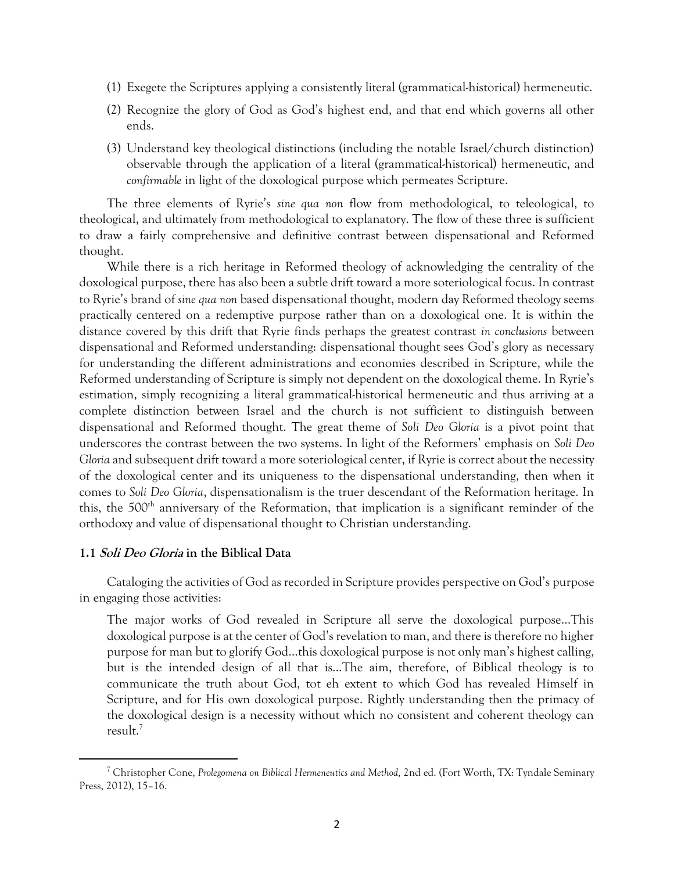- (1) Exegete the Scriptures applying a consistently literal (grammatical-historical) hermeneutic.
- (2) Recognize the glory of God as God's highest end, and that end which governs all other ends.
- (3) Understand key theological distinctions (including the notable Israel/church distinction) observable through the application of a literal (grammatical-historical) hermeneutic, and *confirmable* in light of the doxological purpose which permeates Scripture.

The three elements of Ryrie's *sine qua non* flow from methodological, to teleological, to theological, and ultimately from methodological to explanatory. The flow of these three is sufficient to draw a fairly comprehensive and definitive contrast between dispensational and Reformed thought.

While there is a rich heritage in Reformed theology of acknowledging the centrality of the doxological purpose, there has also been a subtle drift toward a more soteriological focus. In contrast to Ryrie's brand of *sine qua non* based dispensational thought, modern day Reformed theology seems practically centered on a redemptive purpose rather than on a doxological one. It is within the distance covered by this drift that Ryrie finds perhaps the greatest contrast *in conclusions* between dispensational and Reformed understanding: dispensational thought sees God's glory as necessary for understanding the different administrations and economies described in Scripture, while the Reformed understanding of Scripture is simply not dependent on the doxological theme. In Ryrie's estimation, simply recognizing a literal grammatical-historical hermeneutic and thus arriving at a complete distinction between Israel and the church is not sufficient to distinguish between dispensational and Reformed thought. The great theme of *Soli Deo Gloria* is a pivot point that underscores the contrast between the two systems. In light of the Reformers' emphasis on *Soli Deo Gloria* and subsequent drift toward a more soteriological center, if Ryrie is correct about the necessity of the doxological center and its uniqueness to the dispensational understanding, then when it comes to *Soli Deo Gloria*, dispensationalism is the truer descendant of the Reformation heritage. In this, the 500<sup>th</sup> anniversary of the Reformation, that implication is a significant reminder of the orthodoxy and value of dispensational thought to Christian understanding.

#### **1.1 Soli Deo Gloria in the Biblical Data**

 $\overline{a}$ 

Cataloging the activities of God as recorded in Scripture provides perspective on God's purpose in engaging those activities:

The major works of God revealed in Scripture all serve the doxological purpose…This doxological purpose is at the center of God's revelation to man, and there is therefore no higher purpose for man but to glorify God…this doxological purpose is not only man's highest calling, but is the intended design of all that is…The aim, therefore, of Biblical theology is to communicate the truth about God, tot eh extent to which God has revealed Himself in Scripture, and for His own doxological purpose. Rightly understanding then the primacy of the doxological design is a necessity without which no consistent and coherent theology can result.<sup>7</sup>

<sup>7</sup> Christopher Cone, *Prolegomena on Biblical Hermeneutics and Method,* 2nd ed. (Fort Worth, TX: Tyndale Seminary Press, 2012), 15–16.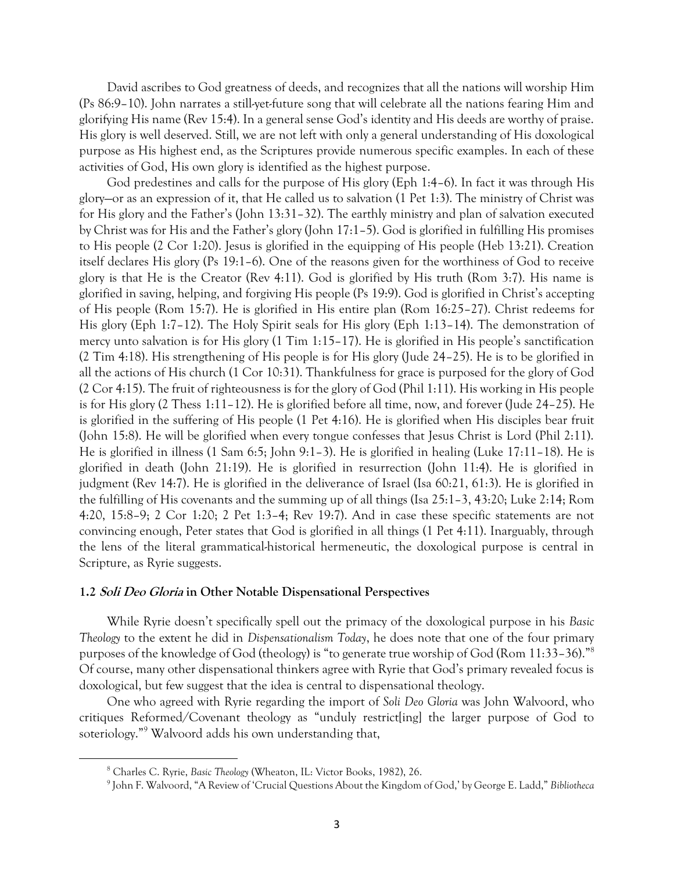David ascribes to God greatness of deeds, and recognizes that all the nations will worship Him (Ps 86:9–10). John narrates a still-yet-future song that will celebrate all the nations fearing Him and glorifying His name (Rev 15:4). In a general sense God's identity and His deeds are worthy of praise. His glory is well deserved. Still, we are not left with only a general understanding of His doxological purpose as His highest end, as the Scriptures provide numerous specific examples. In each of these activities of God, His own glory is identified as the highest purpose.

God predestines and calls for the purpose of His glory (Eph 1:4–6). In fact it was through His glory—or as an expression of it, that He called us to salvation (1 Pet 1:3). The ministry of Christ was for His glory and the Father's (John 13:31–32). The earthly ministry and plan of salvation executed by Christ was for His and the Father's glory (John 17:1–5). God is glorified in fulfilling His promises to His people (2 Cor 1:20). Jesus is glorified in the equipping of His people (Heb 13:21). Creation itself declares His glory (Ps 19:1–6). One of the reasons given for the worthiness of God to receive glory is that He is the Creator (Rev 4:11). God is glorified by His truth (Rom 3:7). His name is glorified in saving, helping, and forgiving His people (Ps 19:9). God is glorified in Christ's accepting of His people (Rom 15:7). He is glorified in His entire plan (Rom 16:25–27). Christ redeems for His glory (Eph 1:7–12). The Holy Spirit seals for His glory (Eph 1:13–14). The demonstration of mercy unto salvation is for His glory (1 Tim 1:15–17). He is glorified in His people's sanctification (2 Tim 4:18). His strengthening of His people is for His glory (Jude 24–25). He is to be glorified in all the actions of His church (1 Cor 10:31). Thankfulness for grace is purposed for the glory of God (2 Cor 4:15). The fruit of righteousness is for the glory of God (Phil 1:11). His working in His people is for His glory (2 Thess 1:11–12). He is glorified before all time, now, and forever (Jude 24–25). He is glorified in the suffering of His people (1 Pet 4:16). He is glorified when His disciples bear fruit (John 15:8). He will be glorified when every tongue confesses that Jesus Christ is Lord (Phil 2:11). He is glorified in illness (1 Sam 6:5; John 9:1–3). He is glorified in healing (Luke 17:11–18). He is glorified in death (John 21:19). He is glorified in resurrection (John 11:4). He is glorified in judgment (Rev 14:7). He is glorified in the deliverance of Israel (Isa 60:21, 61:3). He is glorified in the fulfilling of His covenants and the summing up of all things (Isa 25:1–3, 43:20; Luke 2:14; Rom 4:20, 15:8–9; 2 Cor 1:20; 2 Pet 1:3–4; Rev 19:7). And in case these specific statements are not convincing enough, Peter states that God is glorified in all things (1 Pet 4:11). Inarguably, through the lens of the literal grammatical-historical hermeneutic, the doxological purpose is central in Scripture, as Ryrie suggests.

#### **1.2 Soli Deo Gloria in Other Notable Dispensational Perspectives**

While Ryrie doesn't specifically spell out the primacy of the doxological purpose in his *Basic Theology* to the extent he did in *Dispensationalism Today*, he does note that one of the four primary purposes of the knowledge of God (theology) is "to generate true worship of God (Rom 11:33–36)."<sup>8</sup> Of course, many other dispensational thinkers agree with Ryrie that God's primary revealed focus is doxological, but few suggest that the idea is central to dispensational theology.

One who agreed with Ryrie regarding the import of *Soli Deo Gloria* was John Walvoord, who critiques Reformed/Covenant theology as "unduly restrict[ing] the larger purpose of God to soteriology."<sup>9</sup> Walvoord adds his own understanding that,

<sup>8</sup> Charles C. Ryrie, *Basic Theology* (Wheaton, IL: Victor Books, 1982), 26.

<sup>9</sup> John F. Walvoord, "A Review of 'Crucial Questions About the Kingdom of God,' by George E. Ladd," *Bibliotheca*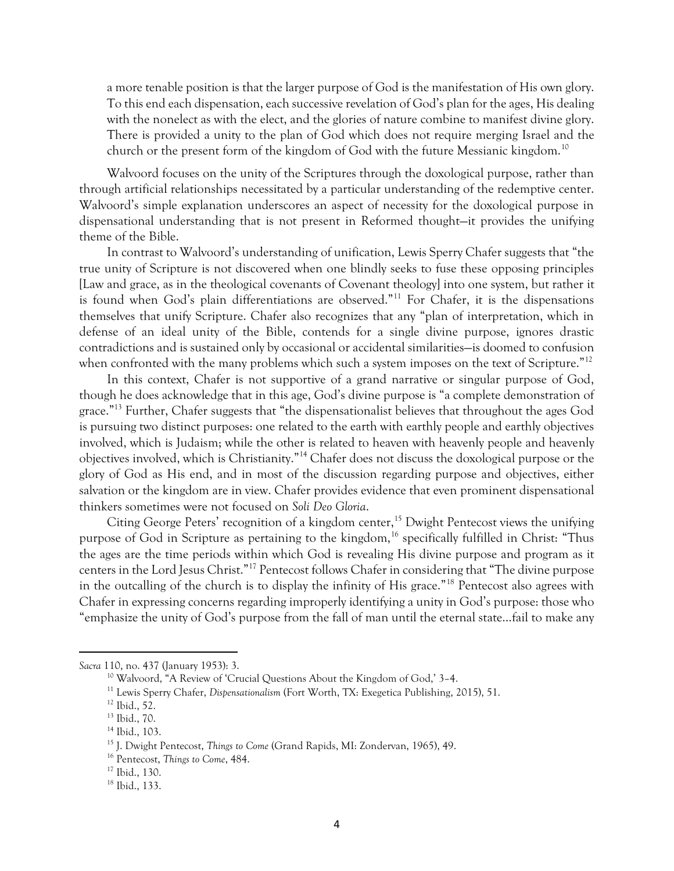a more tenable position is that the larger purpose of God is the manifestation of His own glory. To this end each dispensation, each successive revelation of God's plan for the ages, His dealing with the nonelect as with the elect, and the glories of nature combine to manifest divine glory. There is provided a unity to the plan of God which does not require merging Israel and the church or the present form of the kingdom of God with the future Messianic kingdom.<sup>10</sup>

Walvoord focuses on the unity of the Scriptures through the doxological purpose, rather than through artificial relationships necessitated by a particular understanding of the redemptive center. Walvoord's simple explanation underscores an aspect of necessity for the doxological purpose in dispensational understanding that is not present in Reformed thought—it provides the unifying theme of the Bible.

In contrast to Walvoord's understanding of unification, Lewis Sperry Chafer suggests that "the true unity of Scripture is not discovered when one blindly seeks to fuse these opposing principles [Law and grace, as in the theological covenants of Covenant theology] into one system, but rather it is found when God's plain differentiations are observed."<sup>11</sup> For Chafer, it is the dispensations themselves that unify Scripture. Chafer also recognizes that any "plan of interpretation, which in defense of an ideal unity of the Bible, contends for a single divine purpose, ignores drastic contradictions and is sustained only by occasional or accidental similarities—is doomed to confusion when confronted with the many problems which such a system imposes on the text of Scripture."<sup>12</sup>

In this context, Chafer is not supportive of a grand narrative or singular purpose of God, though he does acknowledge that in this age, God's divine purpose is "a complete demonstration of grace."<sup>13</sup> Further, Chafer suggests that "the dispensationalist believes that throughout the ages God is pursuing two distinct purposes: one related to the earth with earthly people and earthly objectives involved, which is Judaism; while the other is related to heaven with heavenly people and heavenly objectives involved, which is Christianity."<sup>14</sup> Chafer does not discuss the doxological purpose or the glory of God as His end, and in most of the discussion regarding purpose and objectives, either salvation or the kingdom are in view. Chafer provides evidence that even prominent dispensational thinkers sometimes were not focused on *Soli Deo Gloria*.

Citing George Peters' recognition of a kingdom center,<sup>15</sup> Dwight Pentecost views the unifying purpose of God in Scripture as pertaining to the kingdom,<sup>16</sup> specifically fulfilled in Christ: "Thus the ages are the time periods within which God is revealing His divine purpose and program as it centers in the Lord Jesus Christ."<sup>17</sup> Pentecost follows Chafer in considering that "The divine purpose in the outcalling of the church is to display the infinity of His grace."<sup>18</sup> Pentecost also agrees with Chafer in expressing concerns regarding improperly identifying a unity in God's purpose: those who "emphasize the unity of God's purpose from the fall of man until the eternal state…fail to make any

*Sacra* 110, no. 437 (January 1953): 3.

<sup>&</sup>lt;sup>10</sup> Walvoord, "A Review of 'Crucial Questions About the Kingdom of God,' 3-4.

<sup>11</sup> Lewis Sperry Chafer, *Dispensationalism* (Fort Worth, TX: Exegetica Publishing, 2015), 51.

<sup>12</sup> Ibid., 52.

<sup>13</sup> Ibid., 70.

<sup>14</sup> Ibid., 103.

<sup>15</sup> J. Dwight Pentecost, *Things to Come* (Grand Rapids, MI: Zondervan, 1965), 49.

<sup>16</sup> Pentecost, *Things to Come*, 484.

<sup>17</sup> Ibid., 130.

<sup>18</sup> Ibid., 133.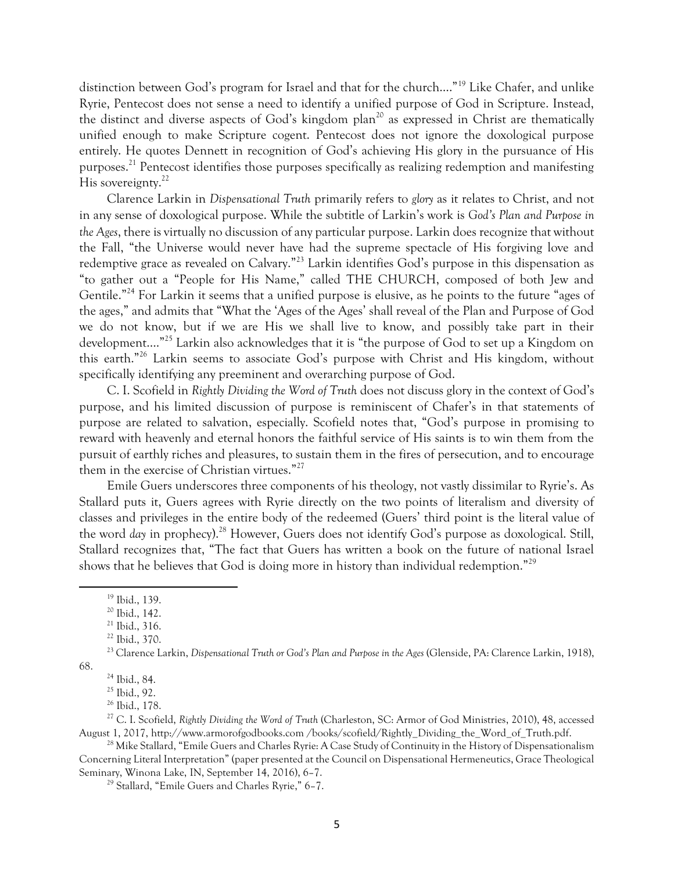distinction between God's program for Israel and that for the church…."<sup>19</sup> Like Chafer, and unlike Ryrie, Pentecost does not sense a need to identify a unified purpose of God in Scripture. Instead, the distinct and diverse aspects of God's kingdom plan<sup>20</sup> as expressed in Christ are thematically unified enough to make Scripture cogent. Pentecost does not ignore the doxological purpose entirely. He quotes Dennett in recognition of God's achieving His glory in the pursuance of His purposes.<sup>21</sup> Pentecost identifies those purposes specifically as realizing redemption and manifesting His sovereignty.<sup>22</sup>

Clarence Larkin in *Dispensational Truth* primarily refers to *glory* as it relates to Christ, and not in any sense of doxological purpose. While the subtitle of Larkin's work is *God's Plan and Purpose in the Ages*, there is virtually no discussion of any particular purpose. Larkin does recognize that without the Fall, "the Universe would never have had the supreme spectacle of His forgiving love and redemptive grace as revealed on Calvary."<sup>23</sup> Larkin identifies God's purpose in this dispensation as "to gather out a "People for His Name," called THE CHURCH, composed of both Jew and Gentile."<sup>24</sup> For Larkin it seems that a unified purpose is elusive, as he points to the future "ages of the ages," and admits that "What the 'Ages of the Ages' shall reveal of the Plan and Purpose of God we do not know, but if we are His we shall live to know, and possibly take part in their development…."<sup>25</sup> Larkin also acknowledges that it is "the purpose of God to set up a Kingdom on this earth."<sup>26</sup> Larkin seems to associate God's purpose with Christ and His kingdom, without specifically identifying any preeminent and overarching purpose of God.

C. I. Scofield in *Rightly Dividing the Word of Truth* does not discuss glory in the context of God's purpose, and his limited discussion of purpose is reminiscent of Chafer's in that statements of purpose are related to salvation, especially. Scofield notes that, "God's purpose in promising to reward with heavenly and eternal honors the faithful service of His saints is to win them from the pursuit of earthly riches and pleasures, to sustain them in the fires of persecution, and to encourage them in the exercise of Christian virtues."<sup>27</sup>

Emile Guers underscores three components of his theology, not vastly dissimilar to Ryrie's. As Stallard puts it, Guers agrees with Ryrie directly on the two points of literalism and diversity of classes and privileges in the entire body of the redeemed (Guers' third point is the literal value of the word *day* in prophecy).<sup>28</sup> However, Guers does not identify God's purpose as doxological. Still, Stallard recognizes that, "The fact that Guers has written a book on the future of national Israel shows that he believes that God is doing more in history than individual redemption."<sup>29</sup>

 $\overline{a}$ 

68.

<sup>19</sup> Ibid., 139.

<sup>20</sup> Ibid., 142.

<sup>21</sup> Ibid., 316.

<sup>22</sup> Ibid., 370.

<sup>23</sup> Clarence Larkin, *Dispensational Truth or God's Plan and Purpose in the Ages* (Glenside, PA: Clarence Larkin, 1918),

<sup>24</sup> Ibid., 84.

<sup>25</sup> Ibid., 92.

<sup>26</sup> Ibid., 178.

<sup>27</sup> C. I. Scofield, *Rightly Dividing the Word of Truth* (Charleston, SC: Armor of God Ministries, 2010), 48, accessed August 1, 2017, http://www.armorofgodbooks.com /books/scofield/Rightly\_Dividing\_the\_Word\_of\_Truth.pdf.

<sup>&</sup>lt;sup>28</sup> Mike Stallard, "Emile Guers and Charles Ryrie: A Case Study of Continuity in the History of Dispensationalism Concerning Literal Interpretation" (paper presented at the Council on Dispensational Hermeneutics, Grace Theological Seminary, Winona Lake, IN, September 14, 2016), 6–7.

<sup>29</sup> Stallard, "Emile Guers and Charles Ryrie," 6–7.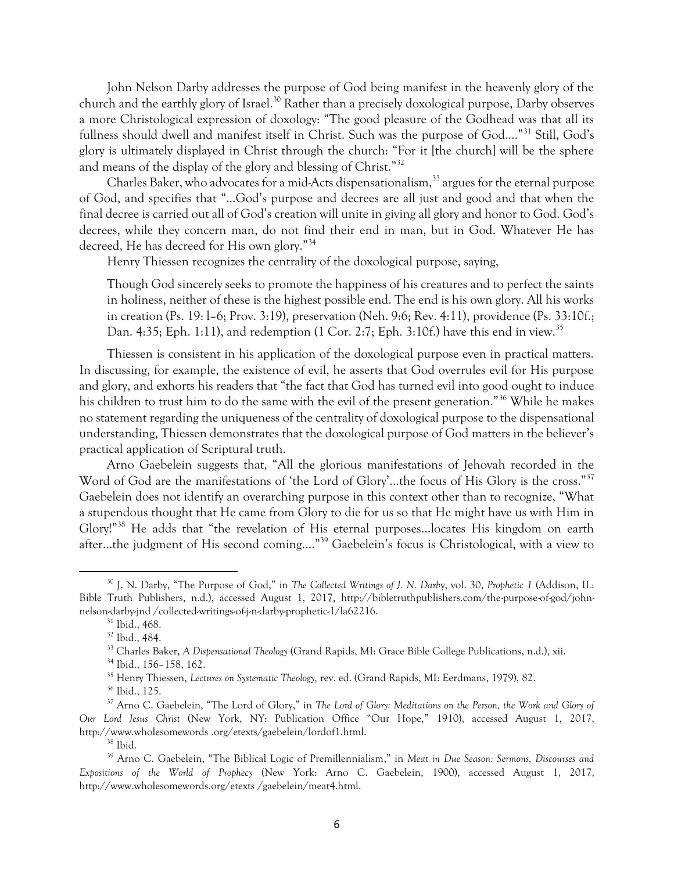John Nelson Darby addresses the purpose of God being manifest in the heavenly glory of the church and the earthly glory of Israel.<sup>30</sup> Rather than a precisely doxological purpose, Darby observes a more Christological expression of doxology: "The good pleasure of the Godhead was that all its fullness should dwell and manifest itself in Christ. Such was the purpose of God...."<sup>31</sup> Still, God's glory is ultimately displayed in Christ through the church: "For it [the church] will be the sphere and means of the display of the glory and blessing of Christ."<sup>32</sup>

Charles Baker, who advocates for a mid-Acts dispensationalism,<sup>33</sup> argues for the eternal purpose of God, and specifies that "…God's purpose and decrees are all just and good and that when the final decree is carried out all of God's creation will unite in giving all glory and honor to God. God's decrees, while they concern man, do not find their end in man, but in God. Whatever He has decreed, He has decreed for His own glory."<sup>34</sup>

Henry Thiessen recognizes the centrality of the doxological purpose, saying,

Though God sincerely seeks to promote the happiness of his creatures and to perfect the saints in holiness, neither of these is the highest possible end. The end is his own glory. All his works in creation (Ps. 19: l–6; Prov. 3:19), preservation (Neh. 9:6; Rev. 4:11), providence (Ps. 33:10f.; Dan. 4:35; Eph. 1:11), and redemption (1 Cor. 2:7; Eph. 3:10f.) have this end in view.<sup>35</sup>

Thiessen is consistent in his application of the doxological purpose even in practical matters. In discussing, for example, the existence of evil, he asserts that God overrules evil for His purpose and glory, and exhorts his readers that "the fact that God has turned evil into good ought to induce his children to trust him to do the same with the evil of the present generation."<sup>36</sup> While he makes no statement regarding the uniqueness of the centrality of doxological purpose to the dispensational understanding, Thiessen demonstrates that the doxological purpose of God matters in the believer's practical application of Scriptural truth.

Arno Gaebelein suggests that, "All the glorious manifestations of Jehovah recorded in the Word of God are the manifestations of 'the Lord of Glory'...the focus of His Glory is the cross."<sup>37</sup> Gaebelein does not identify an overarching purpose in this context other than to recognize, "What a stupendous thought that He came from Glory to die for us so that He might have us with Him in Glory!"<sup>38</sup> He adds that "the revelation of His eternal purposes…locates His kingdom on earth after…the judgment of His second coming.…"<sup>39</sup> Gaebelein's focus is Christological, with a view to

l

<sup>35</sup> Henry Thiessen, *Lectures on Systematic Theology,* rev. ed. (Grand Rapids, MI: Eerdmans, 1979), 82.

<sup>30</sup> J. N. Darby, "The Purpose of God," in *The Collected Writings of J. N. Darb*y, vol. 30, *Prophetic 1* (Addison, IL: Bible Truth Publishers, n.d.), accessed August 1, 2017, http://bibletruthpublishers.com/the-purpose-of-god/johnnelson-darby-jnd /collected-writings-of-j-n-darby-prophetic-1/la62216.

<sup>31</sup> Ibid., 468.

<sup>32</sup> Ibid., 484.

<sup>33</sup> Charles Baker, *A Dispensational Theology* (Grand Rapids, MI: Grace Bible College Publications, n.d.), xii.

<sup>34</sup> Ibid., 156–158, 162.

<sup>36</sup> Ibid., 125.

<sup>&</sup>lt;sup>37</sup> Arno C. Gaebelein, "The Lord of Glory," in *The Lord of Glory: Meditations on the Person, the Work and Glory of Our Lord Jesus Christ* (New York, NY: Publication Office "Our Hope," 1910), accessed August 1, 2017, http://www.wholesomewords .org/etexts/gaebelein/lordof1.html.

 $^{\rm 38}$  Ibid.

<sup>39</sup> Arno C. Gaebelein, "The Biblical Logic of Premillennialism," in *Meat in Due Season: Sermons, Discourses and Expositions of the World of Prophecy* (New York: Arno C. Gaebelein, 1900), accessed August 1, 2017, http://www.wholesomewords.org/etexts /gaebelein/meat4.html.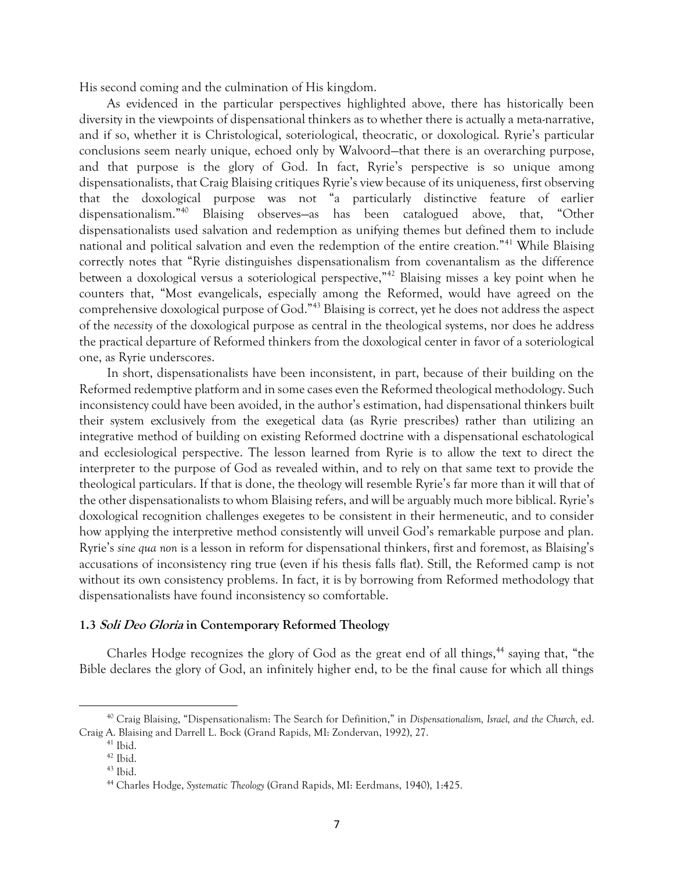His second coming and the culmination of His kingdom.

As evidenced in the particular perspectives highlighted above, there has historically been diversity in the viewpoints of dispensational thinkers as to whether there is actually a meta-narrative, and if so, whether it is Christological, soteriological, theocratic, or doxological. Ryrie's particular conclusions seem nearly unique, echoed only by Walvoord—that there is an overarching purpose, and that purpose is the glory of God. In fact, Ryrie's perspective is so unique among dispensationalists, that Craig Blaising critiques Ryrie's view because of its uniqueness, first observing that the doxological purpose was not "a particularly distinctive feature of earlier dispensationalism."<sup>40</sup> Blaising observes—as has been catalogued above, that, "Other dispensationalists used salvation and redemption as unifying themes but defined them to include national and political salvation and even the redemption of the entire creation."<sup>41</sup> While Blaising correctly notes that "Ryrie distinguishes dispensationalism from covenantalism as the difference between a doxological versus a soteriological perspective,"<sup>42</sup> Blaising misses a key point when he counters that, "Most evangelicals, especially among the Reformed, would have agreed on the comprehensive doxological purpose of God."<sup>43</sup> Blaising is correct, yet he does not address the aspect of the *necessity* of the doxological purpose as central in the theological systems, nor does he address the practical departure of Reformed thinkers from the doxological center in favor of a soteriological one, as Ryrie underscores.

In short, dispensationalists have been inconsistent, in part, because of their building on the Reformed redemptive platform and in some cases even the Reformed theological methodology. Such inconsistency could have been avoided, in the author's estimation, had dispensational thinkers built their system exclusively from the exegetical data (as Ryrie prescribes) rather than utilizing an integrative method of building on existing Reformed doctrine with a dispensational eschatological and ecclesiological perspective. The lesson learned from Ryrie is to allow the text to direct the interpreter to the purpose of God as revealed within, and to rely on that same text to provide the theological particulars. If that is done, the theology will resemble Ryrie's far more than it will that of the other dispensationalists to whom Blaising refers, and will be arguably much more biblical. Ryrie's doxological recognition challenges exegetes to be consistent in their hermeneutic, and to consider how applying the interpretive method consistently will unveil God's remarkable purpose and plan. Ryrie's *sine qua non* is a lesson in reform for dispensational thinkers, first and foremost, as Blaising's accusations of inconsistency ring true (even if his thesis falls flat). Still, the Reformed camp is not without its own consistency problems. In fact, it is by borrowing from Reformed methodology that dispensationalists have found inconsistency so comfortable.

### **1.3 Soli Deo Gloria in Contemporary Reformed Theology**

Charles Hodge recognizes the glory of God as the great end of all things,<sup>44</sup> saying that, "the Bible declares the glory of God, an infinitely higher end, to be the final cause for which all things

<sup>40</sup> Craig Blaising, "Dispensationalism: The Search for Definition," in *Dispensationalism, Israel, and the Church,* ed. Craig A. Blaising and Darrell L. Bock (Grand Rapids, MI: Zondervan, 1992), 27.

<sup>41</sup> Ibid.

<sup>42</sup> Ibid.

 $43$  Ibid.

<sup>44</sup> Charles Hodge, *Systematic Theology* (Grand Rapids, MI: Eerdmans, 1940), 1:425.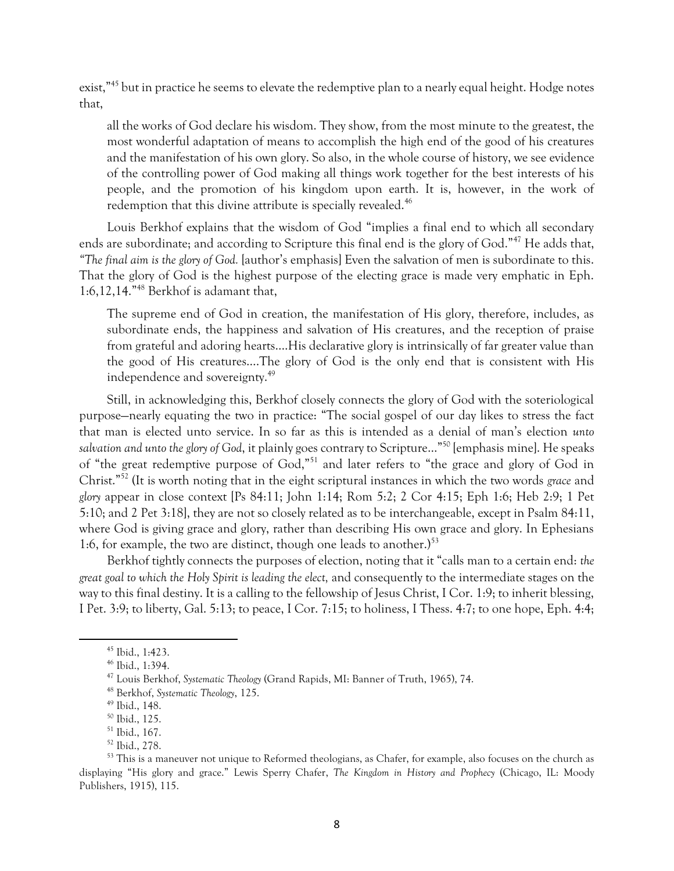exist,"<sup>45</sup> but in practice he seems to elevate the redemptive plan to a nearly equal height. Hodge notes that,

all the works of God declare his wisdom. They show, from the most minute to the greatest, the most wonderful adaptation of means to accomplish the high end of the good of his creatures and the manifestation of his own glory. So also, in the whole course of history, we see evidence of the controlling power of God making all things work together for the best interests of his people, and the promotion of his kingdom upon earth. It is, however, in the work of redemption that this divine attribute is specially revealed.<sup>46</sup>

Louis Berkhof explains that the wisdom of God "implies a final end to which all secondary ends are subordinate; and according to Scripture this final end is the glory of God."<sup>47</sup> He adds that, *"The final aim is the glory of God.* [author's emphasis] Even the salvation of men is subordinate to this. That the glory of God is the highest purpose of the electing grace is made very emphatic in Eph. 1:6,12,14."<sup>48</sup> Berkhof is adamant that,

The supreme end of God in creation, the manifestation of His glory, therefore, includes, as subordinate ends, the happiness and salvation of His creatures, and the reception of praise from grateful and adoring hearts….His declarative glory is intrinsically of far greater value than the good of His creatures….The glory of God is the only end that is consistent with His independence and sovereignty.<sup>49</sup>

Still, in acknowledging this, Berkhof closely connects the glory of God with the soteriological purpose—nearly equating the two in practice: "The social gospel of our day likes to stress the fact that man is elected unto service. In so far as this is intended as a denial of man's election *unto salvation and unto the glory of God*, it plainly goes contrary to Scripture…"<sup>50</sup> [emphasis mine]. He speaks of "the great redemptive purpose of God,"<sup>51</sup> and later refers to "the grace and glory of God in Christ."<sup>52</sup> (It is worth noting that in the eight scriptural instances in which the two words *grace* and *glory* appear in close context [Ps 84:11; John 1:14; Rom 5:2; 2 Cor 4:15; Eph 1:6; Heb 2:9; 1 Pet 5:10; and 2 Pet 3:18], they are not so closely related as to be interchangeable, except in Psalm 84:11, where God is giving grace and glory, rather than describing His own grace and glory. In Ephesians 1:6, for example, the two are distinct, though one leads to another.) $53$ 

Berkhof tightly connects the purposes of election, noting that it "calls man to a certain end: *the great goal to which the Holy Spirit is leading the elect,* and consequently to the intermediate stages on the way to this final destiny. It is a calling to the fellowship of Jesus Christ, I Cor. 1:9; to inherit blessing, I Pet. 3:9; to liberty, Gal. 5:13; to peace, I Cor. 7:15; to holiness, I Thess. 4:7; to one hope, Eph. 4:4;

<sup>45</sup> Ibid., 1:423.

<sup>46</sup> Ibid., 1:394.

<sup>47</sup> Louis Berkhof, *Systematic Theology* (Grand Rapids, MI: Banner of Truth, 1965), 74.

<sup>48</sup> Berkhof, *Systematic Theology*, 125.

<sup>49</sup> Ibid., 148.

<sup>50</sup> Ibid., 125.

<sup>51</sup> Ibid., 167.

<sup>52</sup> Ibid., 278.

<sup>&</sup>lt;sup>53</sup> This is a maneuver not unique to Reformed theologians, as Chafer, for example, also focuses on the church as displaying "His glory and grace." Lewis Sperry Chafer, *The Kingdom in History and Prophecy* (Chicago, IL: Moody Publishers, 1915), 115.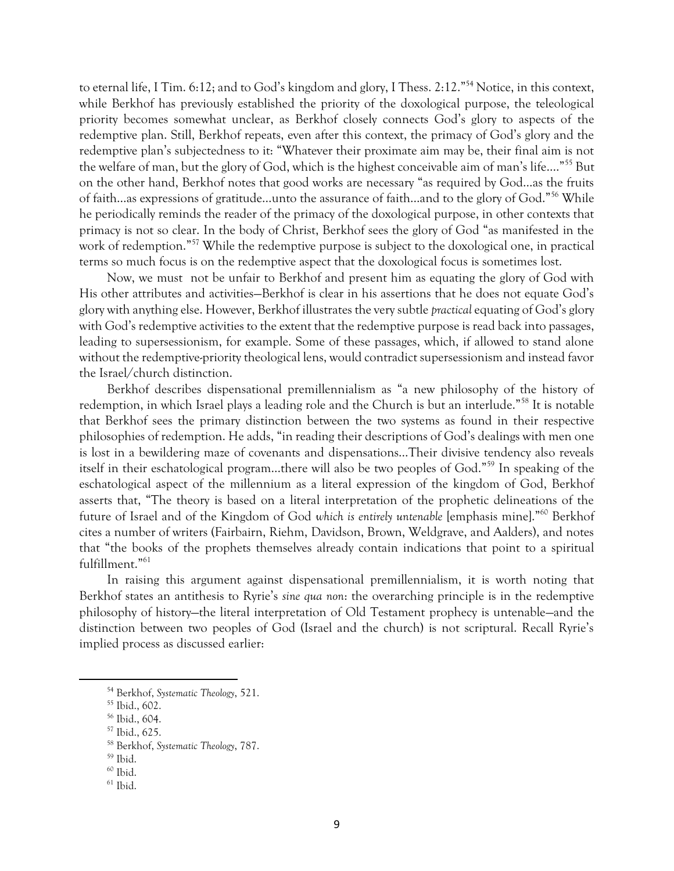to eternal life, I Tim. 6:12; and to God's kingdom and glory, I Thess. 2:12."<sup>54</sup> Notice, in this context, while Berkhof has previously established the priority of the doxological purpose, the teleological priority becomes somewhat unclear, as Berkhof closely connects God's glory to aspects of the redemptive plan. Still, Berkhof repeats, even after this context, the primacy of God's glory and the redemptive plan's subjectedness to it: "Whatever their proximate aim may be, their final aim is not the welfare of man, but the glory of God, which is the highest conceivable aim of man's life.…"<sup>55</sup> But on the other hand, Berkhof notes that good works are necessary "as required by God…as the fruits of faith…as expressions of gratitude…unto the assurance of faith…and to the glory of God."<sup>56</sup> While he periodically reminds the reader of the primacy of the doxological purpose, in other contexts that primacy is not so clear. In the body of Christ, Berkhof sees the glory of God "as manifested in the work of redemption."<sup>57</sup> While the redemptive purpose is subject to the doxological one, in practical terms so much focus is on the redemptive aspect that the doxological focus is sometimes lost.

Now, we must not be unfair to Berkhof and present him as equating the glory of God with His other attributes and activities—Berkhof is clear in his assertions that he does not equate God's glory with anything else. However, Berkhof illustrates the very subtle *practical* equating of God's glory with God's redemptive activities to the extent that the redemptive purpose is read back into passages, leading to supersessionism, for example. Some of these passages, which, if allowed to stand alone without the redemptive-priority theological lens, would contradict supersessionism and instead favor the Israel/church distinction.

Berkhof describes dispensational premillennialism as "a new philosophy of the history of redemption, in which Israel plays a leading role and the Church is but an interlude."<sup>58</sup> It is notable that Berkhof sees the primary distinction between the two systems as found in their respective philosophies of redemption. He adds, "in reading their descriptions of God's dealings with men one is lost in a bewildering maze of covenants and dispensations…Their divisive tendency also reveals itself in their eschatological program…there will also be two peoples of God."<sup>59</sup> In speaking of the eschatological aspect of the millennium as a literal expression of the kingdom of God, Berkhof asserts that, "The theory is based on a literal interpretation of the prophetic delineations of the future of Israel and of the Kingdom of God *which is entirely untenable* [emphasis mine]."<sup>60</sup> Berkhof cites a number of writers (Fairbairn, Riehm, Davidson, Brown, Weldgrave, and Aalders), and notes that "the books of the prophets themselves already contain indications that point to a spiritual fulfillment."<sup>61</sup>

In raising this argument against dispensational premillennialism, it is worth noting that Berkhof states an antithesis to Ryrie's *sine qua non*: the overarching principle is in the redemptive philosophy of history—the literal interpretation of Old Testament prophecy is untenable—and the distinction between two peoples of God (Israel and the church) is not scriptural. Recall Ryrie's implied process as discussed earlier:

<sup>54</sup> Berkhof, *Systematic Theology*, 521.

<sup>55</sup> Ibid., 602.

<sup>56</sup> Ibid., 604.

<sup>57</sup> Ibid., 625.

<sup>58</sup> Berkhof, *Systematic Theology*, 787.

 $59$  Ibid.

 $60$  Ibid.

 $^{61}$  Ibid.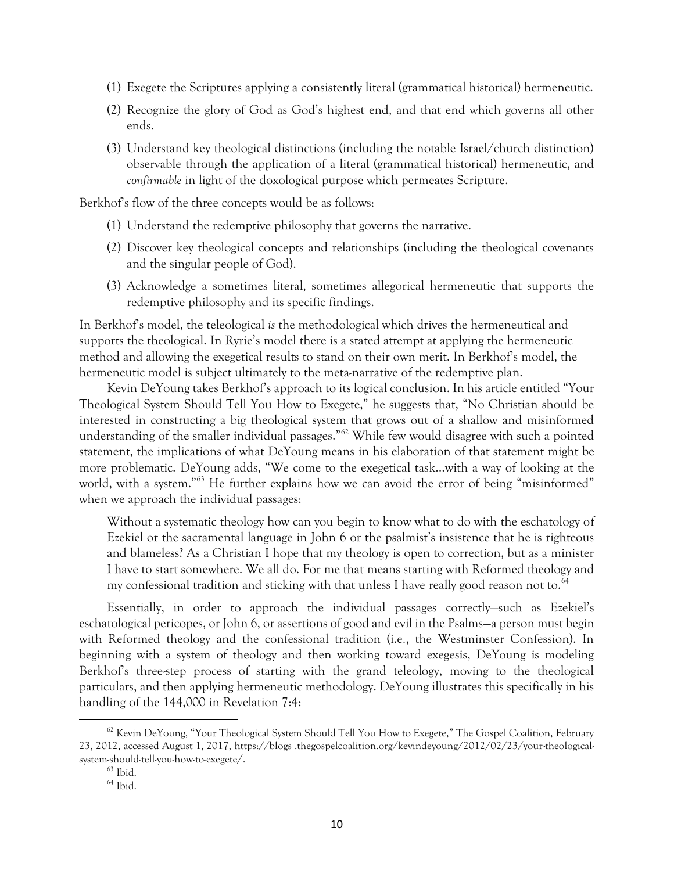- (1) Exegete the Scriptures applying a consistently literal (grammatical historical) hermeneutic.
- (2) Recognize the glory of God as God's highest end, and that end which governs all other ends.
- (3) Understand key theological distinctions (including the notable Israel/church distinction) observable through the application of a literal (grammatical historical) hermeneutic, and *confirmable* in light of the doxological purpose which permeates Scripture.

Berkhof's flow of the three concepts would be as follows:

- (1) Understand the redemptive philosophy that governs the narrative.
- (2) Discover key theological concepts and relationships (including the theological covenants and the singular people of God).
- (3) Acknowledge a sometimes literal, sometimes allegorical hermeneutic that supports the redemptive philosophy and its specific findings.

In Berkhof's model, the teleological *is* the methodological which drives the hermeneutical and supports the theological. In Ryrie's model there is a stated attempt at applying the hermeneutic method and allowing the exegetical results to stand on their own merit. In Berkhof's model, the hermeneutic model is subject ultimately to the meta-narrative of the redemptive plan.

Kevin DeYoung takes Berkhof's approach to its logical conclusion. In his article entitled "Your Theological System Should Tell You How to Exegete," he suggests that, "No Christian should be interested in constructing a big theological system that grows out of a shallow and misinformed understanding of the smaller individual passages."<sup>62</sup> While few would disagree with such a pointed statement, the implications of what DeYoung means in his elaboration of that statement might be more problematic. DeYoung adds, "We come to the exegetical task…with a way of looking at the world, with a system."<sup>63</sup> He further explains how we can avoid the error of being "misinformed" when we approach the individual passages:

Without a systematic theology how can you begin to know what to do with the eschatology of Ezekiel or the sacramental language in John 6 or the psalmist's insistence that he is righteous and blameless? As a Christian I hope that my theology is open to correction, but as a minister I have to start somewhere. We all do. For me that means starting with Reformed theology and my confessional tradition and sticking with that unless I have really good reason not to.<sup>64</sup>

Essentially, in order to approach the individual passages correctly—such as Ezekiel's eschatological pericopes, or John 6, or assertions of good and evil in the Psalms—a person must begin with Reformed theology and the confessional tradition (i.e., the Westminster Confession). In beginning with a system of theology and then working toward exegesis, DeYoung is modeling Berkhof's three-step process of starting with the grand teleology, moving to the theological particulars, and then applying hermeneutic methodology. DeYoung illustrates this specifically in his handling of the 144,000 in Revelation 7:4:

l

<sup>&</sup>lt;sup>62</sup> Kevin DeYoung, "Your Theological System Should Tell You How to Exegete," The Gospel Coalition, February 23, 2012, accessed August 1, 2017, https://blogs .thegospelcoalition.org/kevindeyoung/2012/02/23/your-theologicalsystem-should-tell-you-how-to-exegete/.

 $63$  Ibid.

<sup>64</sup> Ibid.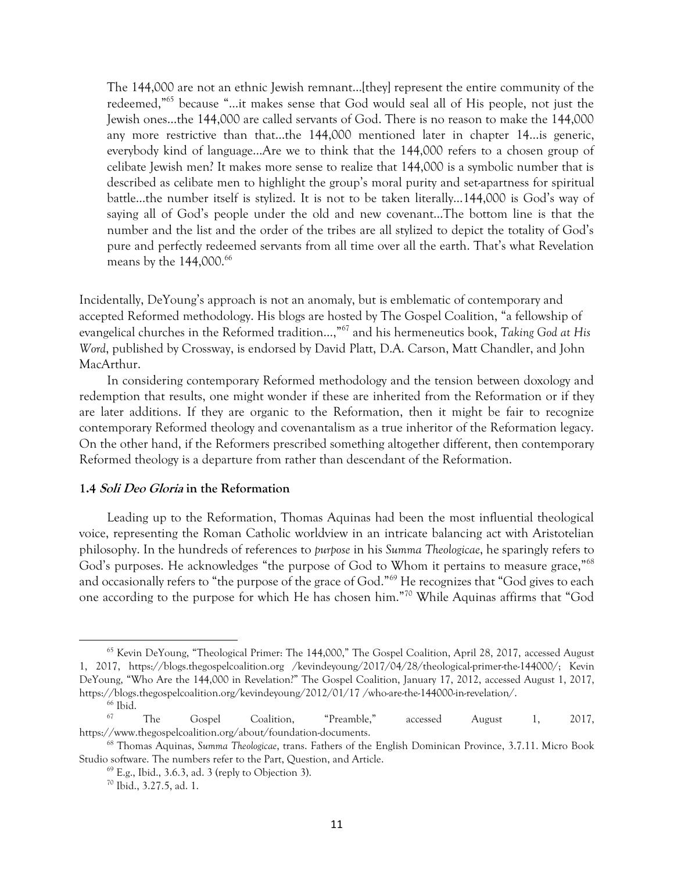The 144,000 are not an ethnic Jewish remnant…[they] represent the entire community of the redeemed,"<sup>65</sup> because "…it makes sense that God would seal all of His people, not just the Jewish ones…the 144,000 are called servants of God. There is no reason to make the 144,000 any more restrictive than that…the 144,000 mentioned later in chapter 14…is generic, everybody kind of language…Are we to think that the 144,000 refers to a chosen group of celibate Jewish men? It makes more sense to realize that 144,000 is a symbolic number that is described as celibate men to highlight the group's moral purity and set-apartness for spiritual battle…the number itself is stylized. It is not to be taken literally…144,000 is God's way of saying all of God's people under the old and new covenant…The bottom line is that the number and the list and the order of the tribes are all stylized to depict the totality of God's pure and perfectly redeemed servants from all time over all the earth. That's what Revelation means by the  $144,000.^{66}$ 

Incidentally, DeYoung's approach is not an anomaly, but is emblematic of contemporary and accepted Reformed methodology. His blogs are hosted by The Gospel Coalition, "a fellowship of evangelical churches in the Reformed tradition…,"<sup>67</sup> and his hermeneutics book, *Taking God at His Word*, published by Crossway, is endorsed by David Platt, D.A. Carson, Matt Chandler, and John MacArthur.

In considering contemporary Reformed methodology and the tension between doxology and redemption that results, one might wonder if these are inherited from the Reformation or if they are later additions. If they are organic to the Reformation, then it might be fair to recognize contemporary Reformed theology and covenantalism as a true inheritor of the Reformation legacy. On the other hand, if the Reformers prescribed something altogether different, then contemporary Reformed theology is a departure from rather than descendant of the Reformation.

### **1.4 Soli Deo Gloria in the Reformation**

Leading up to the Reformation, Thomas Aquinas had been the most influential theological voice, representing the Roman Catholic worldview in an intricate balancing act with Aristotelian philosophy. In the hundreds of references to *purpose* in his *Summa Theologicae*, he sparingly refers to God's purposes. He acknowledges "the purpose of God to Whom it pertains to measure grace,"<sup>68</sup> and occasionally refers to "the purpose of the grace of God."<sup>69</sup> He recognizes that "God gives to each one according to the purpose for which He has chosen him."<sup>70</sup> While Aquinas affirms that "God

<sup>65</sup> Kevin DeYoung, "Theological Primer: The 144,000," The Gospel Coalition, April 28, 2017, accessed August 1, 2017, https://blogs.thegospelcoalition.org /kevindeyoung/2017/04/28/theological-primer-the-144000/; Kevin DeYoung, "Who Are the 144,000 in Revelation?" The Gospel Coalition, January 17, 2012, accessed August 1, 2017, https://blogs.thegospelcoalition.org/kevindeyoung/2012/01/17 /who-are-the-144000-in-revelation/.

<sup>&</sup>lt;sup>66</sup> Ibid.

<sup>67</sup> The Gospel Coalition, "Preamble," accessed August 1, 2017, https://www.thegospelcoalition.org/about/foundation-documents.

<sup>68</sup> Thomas Aquinas, *Summa Theologicae*, trans. Fathers of the English Dominican Province, 3.7.11. Micro Book Studio software. The numbers refer to the Part, Question, and Article.

 $69$  E.g., Ibid., 3.6.3, ad. 3 (reply to Objection 3).

<sup>70</sup> Ibid., 3.27.5, ad. 1.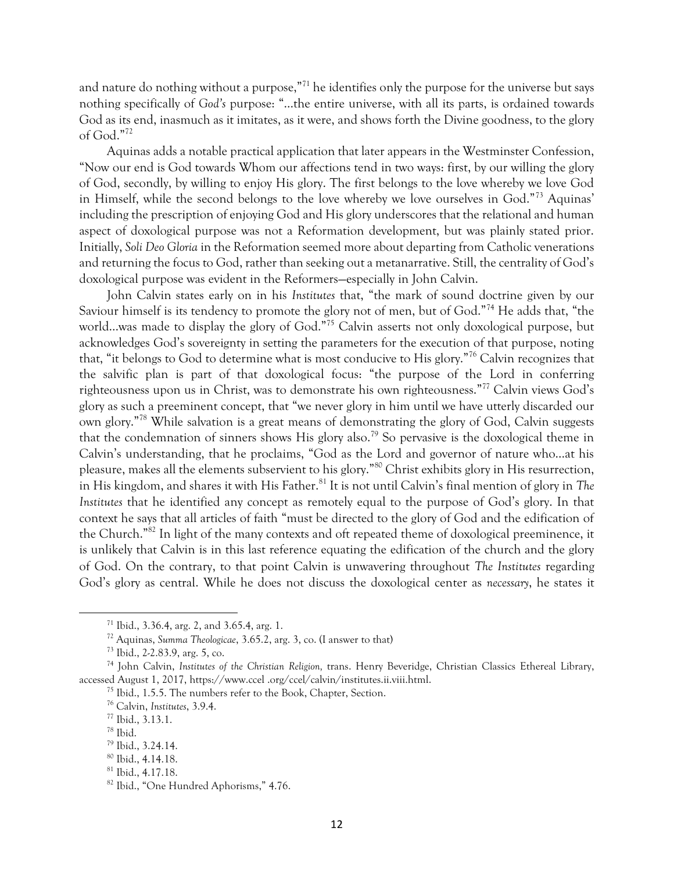and nature do nothing without a purpose,"<sup>71</sup> he identifies only the purpose for the universe but says nothing specifically of *God's* purpose: "…the entire universe, with all its parts, is ordained towards God as its end, inasmuch as it imitates, as it were, and shows forth the Divine goodness, to the glory of God."<sup>72</sup>

Aquinas adds a notable practical application that later appears in the Westminster Confession, "Now our end is God towards Whom our affections tend in two ways: first, by our willing the glory of God, secondly, by willing to enjoy His glory. The first belongs to the love whereby we love God in Himself, while the second belongs to the love whereby we love ourselves in God."<sup>73</sup> Aquinas' including the prescription of enjoying God and His glory underscores that the relational and human aspect of doxological purpose was not a Reformation development, but was plainly stated prior. Initially, *Soli Deo Gloria* in the Reformation seemed more about departing from Catholic venerations and returning the focus to God, rather than seeking out a metanarrative. Still, the centrality of God's doxological purpose was evident in the Reformers—especially in John Calvin.

John Calvin states early on in his *Institutes* that, "the mark of sound doctrine given by our Saviour himself is its tendency to promote the glory not of men, but of God."<sup>74</sup> He adds that, "the world...was made to display the glory of God."<sup>75</sup> Calvin asserts not only doxological purpose, but acknowledges God's sovereignty in setting the parameters for the execution of that purpose, noting that, "it belongs to God to determine what is most conducive to His glory."<sup>76</sup> Calvin recognizes that the salvific plan is part of that doxological focus: "the purpose of the Lord in conferring righteousness upon us in Christ, was to demonstrate his own righteousness."<sup>77</sup> Calvin views God's glory as such a preeminent concept, that "we never glory in him until we have utterly discarded our own glory."<sup>78</sup> While salvation is a great means of demonstrating the glory of God, Calvin suggests that the condemnation of sinners shows His glory also.<sup>79</sup> So pervasive is the doxological theme in Calvin's understanding, that he proclaims, "God as the Lord and governor of nature who…at his pleasure, makes all the elements subservient to his glory."<sup>80</sup> Christ exhibits glory in His resurrection, in His kingdom, and shares it with His Father.<sup>81</sup> It is not until Calvin's final mention of glory in *The Institutes* that he identified any concept as remotely equal to the purpose of God's glory. In that context he says that all articles of faith "must be directed to the glory of God and the edification of the Church."<sup>82</sup> In light of the many contexts and oft repeated theme of doxological preeminence, it is unlikely that Calvin is in this last reference equating the edification of the church and the glory of God. On the contrary, to that point Calvin is unwavering throughout *The Institutes* regarding God's glory as central. While he does not discuss the doxological center as *necessary*, he states it

<sup>71</sup> Ibid., 3.36.4, arg. 2, and 3.65.4, arg. 1.

<sup>72</sup> Aquinas, *Summa Theologicae*, 3.65.2, arg. 3, co. (I answer to that)

<sup>73</sup> Ibid., 2-2.83.9, arg. 5, co.

<sup>74</sup> John Calvin, *Institutes of the Christian Religion,* trans. Henry Beveridge, Christian Classics Ethereal Library, accessed August 1, 2017, https://www.ccel .org/ccel/calvin/institutes.ii.viii.html.

<sup>75</sup> Ibid., 1.5.5. The numbers refer to the Book, Chapter, Section.

<sup>76</sup> Calvin, *Institutes*, 3.9.4.

<sup>77</sup> Ibid., 3.13.1.

<sup>78</sup> Ibid.

<sup>79</sup> Ibid., 3.24.14.

<sup>80</sup> Ibid., 4.14.18.

<sup>81</sup> Ibid., 4.17.18.

<sup>82</sup> Ibid., "One Hundred Aphorisms," 4.76.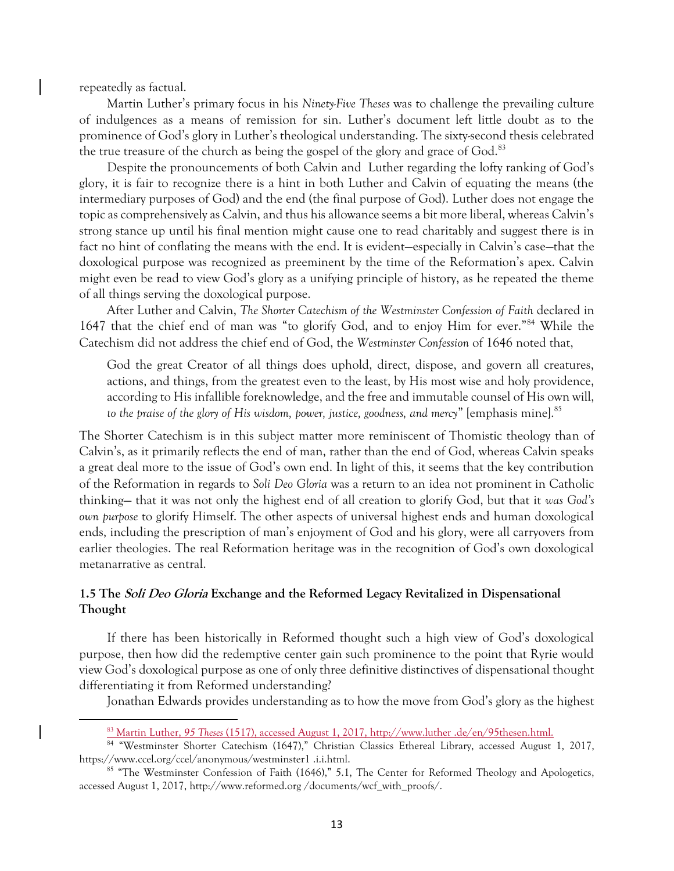repeatedly as factual.

 $\overline{a}$ 

Martin Luther's primary focus in his *Ninety-Five Theses* was to challenge the prevailing culture of indulgences as a means of remission for sin. Luther's document left little doubt as to the prominence of God's glory in Luther's theological understanding. The sixty-second thesis celebrated the true treasure of the church as being the gospel of the glory and grace of God.<sup>83</sup>

Despite the pronouncements of both Calvin and Luther regarding the lofty ranking of God's glory, it is fair to recognize there is a hint in both Luther and Calvin of equating the means (the intermediary purposes of God) and the end (the final purpose of God). Luther does not engage the topic as comprehensively as Calvin, and thus his allowance seems a bit more liberal, whereas Calvin's strong stance up until his final mention might cause one to read charitably and suggest there is in fact no hint of conflating the means with the end. It is evident—especially in Calvin's case—that the doxological purpose was recognized as preeminent by the time of the Reformation's apex. Calvin might even be read to view God's glory as a unifying principle of history, as he repeated the theme of all things serving the doxological purpose.

After Luther and Calvin, *The Shorter Catechism of the Westminster Confession of Faith* declared in 1647 that the chief end of man was "to glorify God, and to enjoy Him for ever."<sup>84</sup> While the Catechism did not address the chief end of God, the *Westminster Confession* of 1646 noted that,

God the great Creator of all things does uphold, direct, dispose, and govern all creatures, actions, and things, from the greatest even to the least, by His most wise and holy providence, according to His infallible foreknowledge, and the free and immutable counsel of His own will, to the praise of the glory of His wisdom, power, justice, goodness, and mercy" [emphasis mine].<sup>85</sup>

The Shorter Catechism is in this subject matter more reminiscent of Thomistic theology than of Calvin's, as it primarily reflects the end of man, rather than the end of God, whereas Calvin speaks a great deal more to the issue of God's own end. In light of this, it seems that the key contribution of the Reformation in regards to *Soli Deo Gloria* was a return to an idea not prominent in Catholic thinking— that it was not only the highest end of all creation to glorify God, but that it *was God's own purpose* to glorify Himself. The other aspects of universal highest ends and human doxological ends, including the prescription of man's enjoyment of God and his glory, were all carryovers from earlier theologies. The real Reformation heritage was in the recognition of God's own doxological metanarrative as central.

# **1.5 The Soli Deo Gloria Exchange and the Reformed Legacy Revitalized in Dispensational Thought**

If there has been historically in Reformed thought such a high view of God's doxological purpose, then how did the redemptive center gain such prominence to the point that Ryrie would view God's doxological purpose as one of only three definitive distinctives of dispensational thought differentiating it from Reformed understanding?

Jonathan Edwards provides understanding as to how the move from God's glory as the highest

<sup>83</sup> Martin Luther, *95 Theses* (1517), accessed August 1, 2017, http://www.luther .de/en/95thesen.html.

<sup>84</sup> "Westminster Shorter Catechism (1647)," Christian Classics Ethereal Library, accessed August 1, 2017, https://www.ccel.org/ccel/anonymous/westminster1 .i.i.html.

<sup>&</sup>lt;sup>85</sup> "The Westminster Confession of Faith (1646)," 5.1, The Center for Reformed Theology and Apologetics, accessed August 1, 2017, http://www.reformed.org /documents/wcf\_with\_proofs/.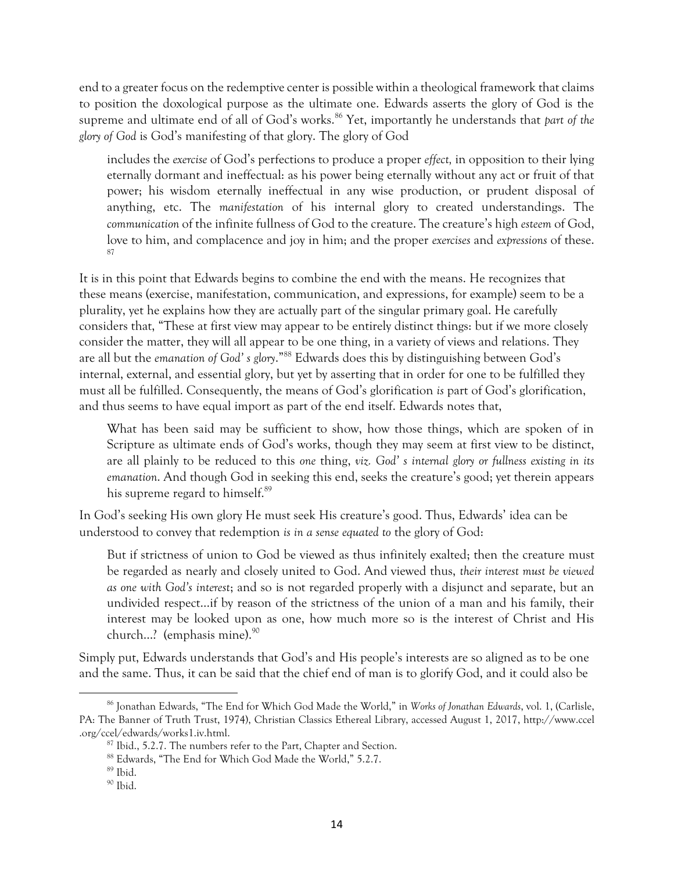end to a greater focus on the redemptive center is possible within a theological framework that claims to position the doxological purpose as the ultimate one. Edwards asserts the glory of God is the supreme and ultimate end of all of God's works.<sup>86</sup> Yet, importantly he understands that *part of the glory of God* is God's manifesting of that glory. The glory of God

includes the *exercise* of God's perfections to produce a proper *effect,* in opposition to their lying eternally dormant and ineffectual: as his power being eternally without any act or fruit of that power; his wisdom eternally ineffectual in any wise production, or prudent disposal of anything, etc. The *manifestation* of his internal glory to created understandings. The *communication* of the infinite fullness of God to the creature. The creature's high *esteem* of God, love to him, and complacence and joy in him; and the proper *exercises* and *expressions* of these. 87

It is in this point that Edwards begins to combine the end with the means. He recognizes that these means (exercise, manifestation, communication, and expressions, for example) seem to be a plurality, yet he explains how they are actually part of the singular primary goal. He carefully considers that, "These at first view may appear to be entirely distinct things: but if we more closely consider the matter, they will all appear to be one thing, in a variety of views and relations. They are all but the *emanation of God' s glory*."<sup>88</sup> Edwards does this by distinguishing between God's internal, external, and essential glory, but yet by asserting that in order for one to be fulfilled they must all be fulfilled. Consequently, the means of God's glorification *is* part of God's glorification, and thus seems to have equal import as part of the end itself. Edwards notes that,

What has been said may be sufficient to show, how those things, which are spoken of in Scripture as ultimate ends of God's works, though they may seem at first view to be distinct, are all plainly to be reduced to this *one* thing, *viz. God' s internal glory or fullness existing in its emanation*. And though God in seeking this end, seeks the creature's good; yet therein appears his supreme regard to himself.<sup>89</sup>

In God's seeking His own glory He must seek His creature's good. Thus, Edwards' idea can be understood to convey that redemption *is in a sense equated to* the glory of God:

But if strictness of union to God be viewed as thus infinitely exalted; then the creature must be regarded as nearly and closely united to God. And viewed thus, *their interest must be viewed as one with God's interest*; and so is not regarded properly with a disjunct and separate, but an undivided respect…if by reason of the strictness of the union of a man and his family, their interest may be looked upon as one, how much more so is the interest of Christ and His church...? (emphasis mine).<sup>90</sup>

Simply put, Edwards understands that God's and His people's interests are so aligned as to be one and the same. Thus, it can be said that the chief end of man is to glorify God, and it could also be

<sup>86</sup> Jonathan Edwards, "The End for Which God Made the World," in *Works of Jonathan Edwards*, vol. 1, (Carlisle, PA: The Banner of Truth Trust, 1974), Christian Classics Ethereal Library, accessed August 1, 2017, http://www.ccel .org/ccel/edwards/works1.iv.html.

 $87$  Ibid., 5.2.7. The numbers refer to the Part, Chapter and Section.

<sup>88</sup> Edwards, "The End for Which God Made the World," 5.2.7.

<sup>89</sup> Ibid.

<sup>90</sup> Ibid.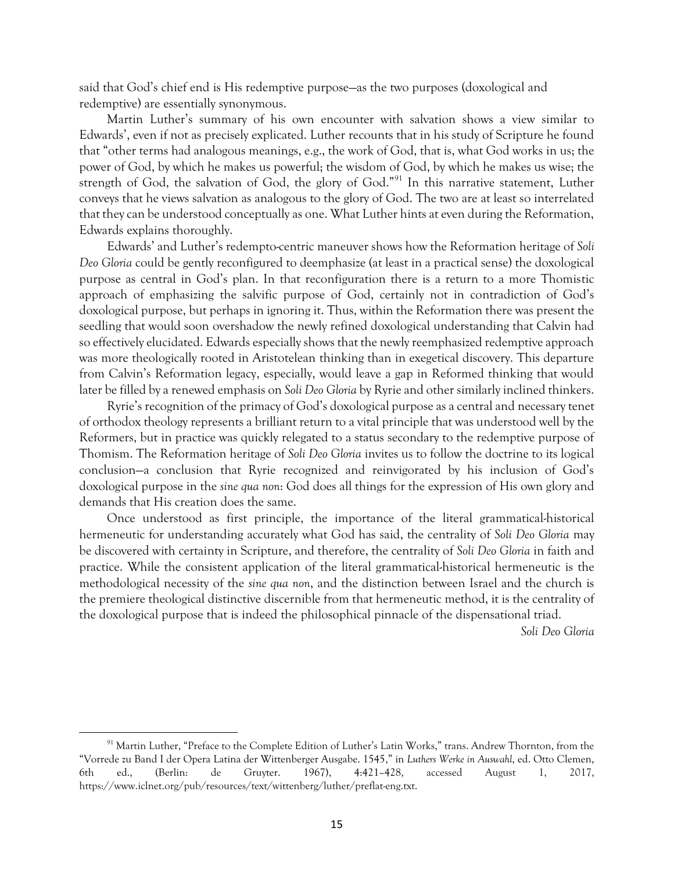said that God's chief end is His redemptive purpose—as the two purposes (doxological and redemptive) are essentially synonymous.

Martin Luther's summary of his own encounter with salvation shows a view similar to Edwards', even if not as precisely explicated. Luther recounts that in his study of Scripture he found that "other terms had analogous meanings, e.g., the work of God, that is, what God works in us; the power of God, by which he makes us powerful; the wisdom of God, by which he makes us wise; the strength of God, the salvation of God, the glory of God."<sup>91</sup> In this narrative statement, Luther conveys that he views salvation as analogous to the glory of God. The two are at least so interrelated that they can be understood conceptually as one. What Luther hints at even during the Reformation, Edwards explains thoroughly.

Edwards' and Luther's redempto-centric maneuver shows how the Reformation heritage of *Soli Deo Gloria* could be gently reconfigured to deemphasize (at least in a practical sense) the doxological purpose as central in God's plan. In that reconfiguration there is a return to a more Thomistic approach of emphasizing the salvific purpose of God, certainly not in contradiction of God's doxological purpose, but perhaps in ignoring it. Thus, within the Reformation there was present the seedling that would soon overshadow the newly refined doxological understanding that Calvin had so effectively elucidated. Edwards especially shows that the newly reemphasized redemptive approach was more theologically rooted in Aristotelean thinking than in exegetical discovery. This departure from Calvin's Reformation legacy, especially, would leave a gap in Reformed thinking that would later be filled by a renewed emphasis on *Soli Deo Gloria* by Ryrie and other similarly inclined thinkers.

Ryrie's recognition of the primacy of God's doxological purpose as a central and necessary tenet of orthodox theology represents a brilliant return to a vital principle that was understood well by the Reformers, but in practice was quickly relegated to a status secondary to the redemptive purpose of Thomism. The Reformation heritage of *Soli Deo Gloria* invites us to follow the doctrine to its logical conclusion—a conclusion that Ryrie recognized and reinvigorated by his inclusion of God's doxological purpose in the *sine qua non*: God does all things for the expression of His own glory and demands that His creation does the same.

Once understood as first principle, the importance of the literal grammatical-historical hermeneutic for understanding accurately what God has said, the centrality of *Soli Deo Gloria* may be discovered with certainty in Scripture, and therefore, the centrality of *Soli Deo Gloria* in faith and practice. While the consistent application of the literal grammatical-historical hermeneutic is the methodological necessity of the *sine qua non*, and the distinction between Israel and the church is the premiere theological distinctive discernible from that hermeneutic method, it is the centrality of the doxological purpose that is indeed the philosophical pinnacle of the dispensational triad.

*Soli Deo Gloria*

<sup>91</sup> Martin Luther, "Preface to the Complete Edition of Luther's Latin Works," trans. Andrew Thornton, from the "Vorrede zu Band I der Opera Latina der Wittenberger Ausgabe. 1545," in *Luthers Werke in Auswahl*, ed. Otto Clemen, 6th ed., (Berlin: de Gruyter. 1967), 4:421–428, accessed August 1, 2017, https://www.iclnet.org/pub/resources/text/wittenberg/luther/preflat-eng.txt.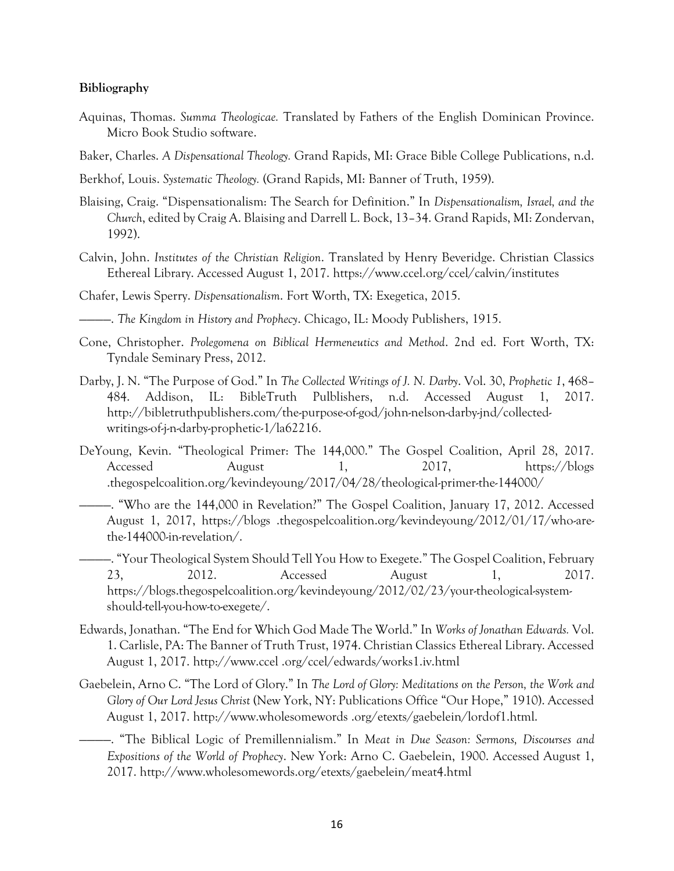### **Bibliography**

- Aquinas, Thomas. *Summa Theologicae.* Translated by Fathers of the English Dominican Province. Micro Book Studio software.
- Baker, Charles. *A Dispensational Theology.* Grand Rapids, MI: Grace Bible College Publications, n.d.
- Berkhof, Louis. *Systematic Theology.* (Grand Rapids, MI: Banner of Truth, 1959).
- Blaising, Craig. "Dispensationalism: The Search for Definition." In *Dispensationalism, Israel, and the Church*, edited by Craig A. Blaising and Darrell L. Bock, 13–34. Grand Rapids, MI: Zondervan, 1992).
- Calvin, John. *Institutes of the Christian Religion*. Translated by Henry Beveridge. Christian Classics Ethereal Library. Accessed August 1, 2017. https://www.ccel.org/ccel/calvin/institutes
- Chafer, Lewis Sperry. *Dispensationalism*. Fort Worth, TX: Exegetica, 2015.

————. *The Kingdom in History and Prophecy*. Chicago, IL: Moody Publishers, 1915.

- Cone, Christopher. *Prolegomena on Biblical Hermeneutics and Method*. 2nd ed. Fort Worth, TX: Tyndale Seminary Press, 2012.
- Darby, J. N. "The Purpose of God." In *The Collected Writings of J. N. Darby*. Vol. 30, *Prophetic 1*, 468– 484. Addison, IL: BibleTruth Pulblishers, n.d. Accessed August 1, 2017. http://bibletruthpublishers.com/the-purpose-of-god/john-nelson-darby-jnd/collectedwritings-of-j-n-darby-prophetic-1/la62216.
- DeYoung, Kevin. "Theological Primer: The 144,000." The Gospel Coalition, April 28, 2017. Accessed August 1, 2017, https://blogs .thegospelcoalition.org/kevindeyoung/2017/04/28/theological-primer-the-144000/
	- ————. "Who are the 144,000 in Revelation?" The Gospel Coalition, January 17, 2012. Accessed August 1, 2017, https://blogs .thegospelcoalition.org/kevindeyoung/2012/01/17/who-arethe-144000-in-revelation/.

————. "Your Theological System Should Tell You How to Exegete." The Gospel Coalition, February 23, 2012. Accessed August 1, 2017. https://blogs.thegospelcoalition.org/kevindeyoung/2012/02/23/your-theological-systemshould-tell-you-how-to-exegete/.

- Edwards, Jonathan. "The End for Which God Made The World." In *Works of Jonathan Edwards.* Vol. 1. Carlisle, PA: The Banner of Truth Trust, 1974. Christian Classics Ethereal Library. Accessed August 1, 2017. http://www.ccel .org/ccel/edwards/works1.iv.html
- Gaebelein, Arno C. "The Lord of Glory." In *The Lord of Glory: Meditations on the Person, the Work and Glory of Our Lord Jesus Christ* (New York, NY: Publications Office "Our Hope," 1910). Accessed August 1, 2017. http://www.wholesomewords .org/etexts/gaebelein/lordof1.html.
	- ————. "The Biblical Logic of Premillennialism." In *Meat in Due Season: Sermons, Discourses and Expositions of the World of Prophecy*. New York: Arno C. Gaebelein, 1900. Accessed August 1, 2017. http://www.wholesomewords.org/etexts/gaebelein/meat4.html